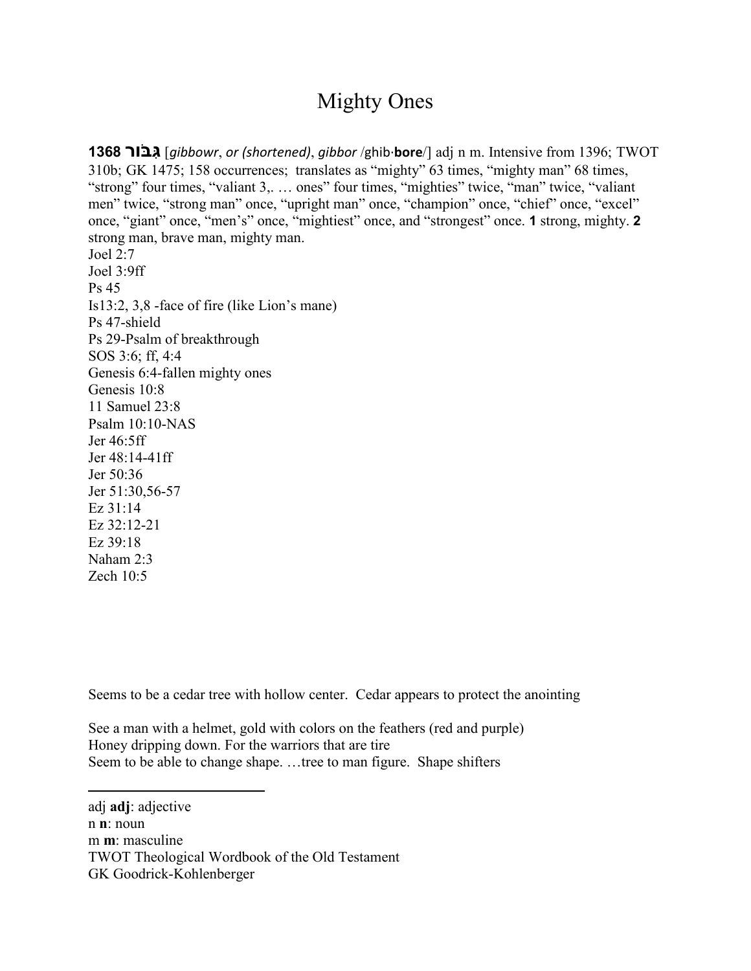## Mighty Ones

**1368 ור ֹבּ ִגּ**] *gibbowr*, *or (shortened)*, *gibbor* /ghib·**bore**/] *0F*adj *1F*n *2F*m. Intensive from 1396; *3F*TWOT 310b; *GK* 1475; 158 occurrences; translates as "mighty" 63 times, "mighty man" 68 times, "strong" four times, "valiant 3,. ... ones" four times, "mighties" twice, "man" twice, "valiant men" twice, "strong man" once, "upright man" once, "champion" once, "chief" once, "excel" once, "giant" once, "men's" once, "mightiest" once, and "strongest" once. **1** strong, mighty. **2** strong man, brave man, mighty man. Joel 2:7 Joel 3:9ff Ps 45 Is13:2, 3,8 -face of fire (like Lion's mane) Ps 47-shield Ps 29-Psalm of breakthrough SOS 3:6; ff, 4:4 Genesis 6:4-fallen mighty ones Genesis 10:8 11 Samuel 23:8 Psalm 10:10-NAS Jer 46:5ff Jer 48:14-41ff Jer 50:36 Jer 51:30,56-57 Ez 31:14 Ez 32:12-21 Ez 39:18 Naham 2:3

Zech 10:5

 $\overline{a}$ 

Seems to be a cedar tree with hollow center. Cedar appears to protect the anointing

See a man with a helmet, gold with colors on the feathers (red and purple) Honey dripping down. For the warriors that are tire Seem to be able to change shape. …tree to man figure. Shape shifters

adj **adj**: adjective n **n**: noun m **m**: masculine TWOT Theological Wordbook of the Old Testament GK Goodrick-Kohlenberger